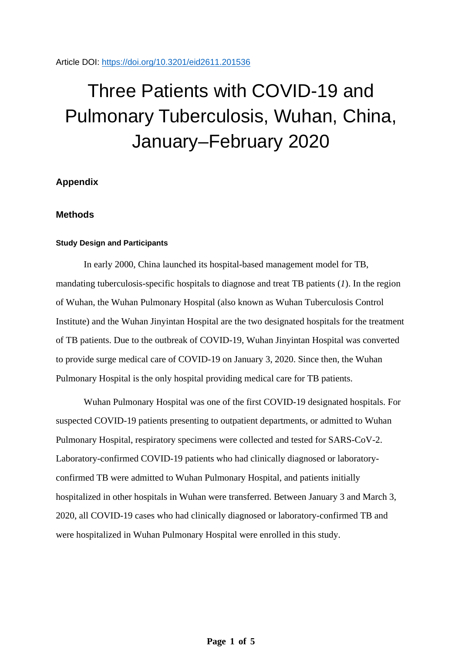Article DOI:<https://doi.org/10.3201/eid2611.201536>

# Three Patients with COVID-19 and Pulmonary Tuberculosis, Wuhan, China, January–February 2020

# **Appendix**

## **Methods**

#### **Study Design and Participants**

In early 2000, China launched its hospital-based management model for TB, mandating tuberculosis-specific hospitals to diagnose and treat TB patients (*1*). In the region of Wuhan, the Wuhan Pulmonary Hospital (also known as Wuhan Tuberculosis Control Institute) and the Wuhan Jinyintan Hospital are the two designated hospitals for the treatment of TB patients. Due to the outbreak of COVID-19, Wuhan Jinyintan Hospital was converted to provide surge medical care of COVID-19 on January 3, 2020. Since then, the Wuhan Pulmonary Hospital is the only hospital providing medical care for TB patients.

Wuhan Pulmonary Hospital was one of the first COVID-19 designated hospitals. For suspected COVID-19 patients presenting to outpatient departments, or admitted to Wuhan Pulmonary Hospital, respiratory specimens were collected and tested for SARS-CoV-2. Laboratory-confirmed COVID-19 patients who had clinically diagnosed or laboratoryconfirmed TB were admitted to Wuhan Pulmonary Hospital, and patients initially hospitalized in other hospitals in Wuhan were transferred. Between January 3 and March 3, 2020, all COVID-19 cases who had clinically diagnosed or laboratory-confirmed TB and were hospitalized in Wuhan Pulmonary Hospital were enrolled in this study.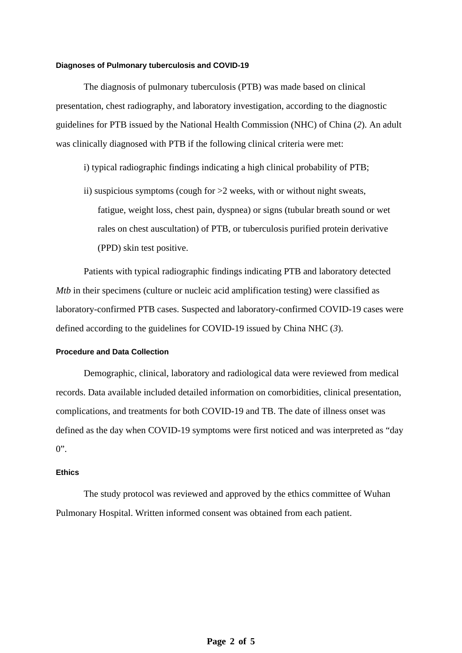#### **Diagnoses of Pulmonary tuberculosis and COVID-19**

The diagnosis of pulmonary tuberculosis (PTB) was made based on clinical presentation, chest radiography, and laboratory investigation, according to the diagnostic guidelines for PTB issued by the National Health Commission (NHC) of China (*2*). An adult was clinically diagnosed with PTB if the following clinical criteria were met:

- i) typical radiographic findings indicating a high clinical probability of PTB;
- ii) suspicious symptoms (cough for  $>2$  weeks, with or without night sweats, fatigue, weight loss, chest pain, dyspnea) or signs (tubular breath sound or wet rales on chest auscultation) of PTB, or tuberculosis purified protein derivative (PPD) skin test positive.

Patients with typical radiographic findings indicating PTB and laboratory detected *Mtb* in their specimens (culture or nucleic acid amplification testing) were classified as laboratory-confirmed PTB cases. Suspected and laboratory-confirmed COVID-19 cases were defined according to the guidelines for COVID-19 issued by China NHC (*3*).

## **Procedure and Data Collection**

Demographic, clinical, laboratory and radiological data were reviewed from medical records. Data available included detailed information on comorbidities, clinical presentation, complications, and treatments for both COVID-19 and TB. The date of illness onset was defined as the day when COVID-19 symptoms were first noticed and was interpreted as "day  $0$ ".

### **Ethics**

The study protocol was reviewed and approved by the ethics committee of Wuhan Pulmonary Hospital. Written informed consent was obtained from each patient.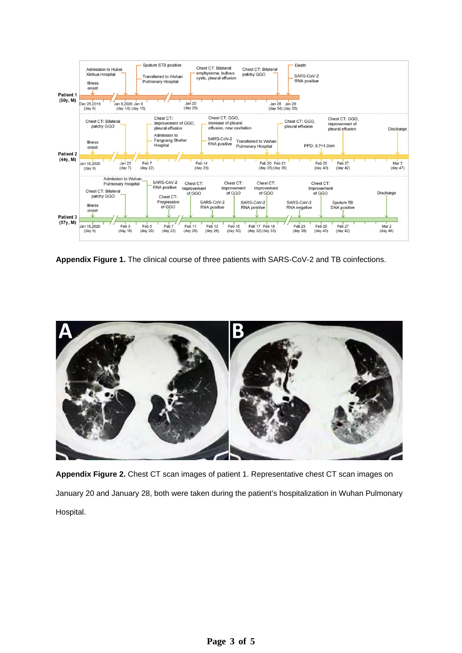

**Appendix Figure 1.** The clinical course of three patients with SARS-CoV-2 and TB coinfections.



**Appendix Figure 2.** Chest CT scan images of patient 1. Representative chest CT scan images on January 20 and January 28, both were taken during the patient's hospitalization in Wuhan Pulmonary Hospital.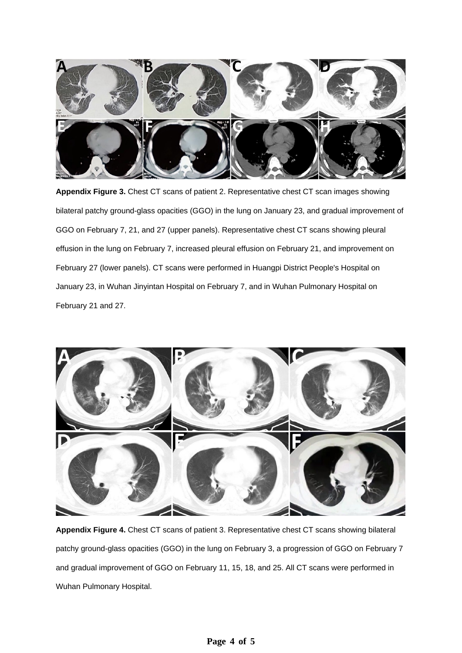

**Appendix Figure 3.** Chest CT scans of patient 2. Representative chest CT scan images showing bilateral patchy ground-glass opacities (GGO) in the lung on January 23, and gradual improvement of GGO on February 7, 21, and 27 (upper panels). Representative chest CT scans showing pleural effusion in the lung on February 7, increased pleural effusion on February 21, and improvement on February 27 (lower panels). CT scans were performed in Huangpi District People's Hospital on January 23, in Wuhan Jinyintan Hospital on February 7, and in Wuhan Pulmonary Hospital on February 21 and 27.



**Appendix Figure 4.** Chest CT scans of patient 3. Representative chest CT scans showing bilateral patchy ground-glass opacities (GGO) in the lung on February 3, a progression of GGO on February 7 and gradual improvement of GGO on February 11, 15, 18, and 25. All CT scans were performed in Wuhan Pulmonary Hospital.